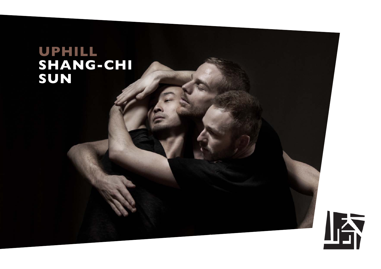# **UPHILL<br>SHANG-CHI** SUN

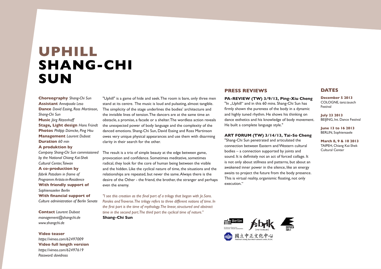# **uphill Shang-Chi Sun**

**Choreography** *Shang-Chi Sun* **Assistant** *Annapoala Leso* **Dance** *David Essing, Ross Martinson, Shang-Chi Sun* **Music** *Jörg Ritzenhoff* **Stage***,* **Light design** *Hans Fründt* **Photos** *Philipp Dümcke, Ping Hsu* **Management** *Laurent Dubost* **Duration** *60 min*

# **A produktion by**

*Company Shang-Chi Sun commissioned by the National Chiang Kai-Shek Cultural Center, Taiwan*

**A co-production by** *fabrik Potsdam in frame of Programm Artists-in-Residence* **With friendly support of**  *Sophiensaelen Berlin* **With financial support of**  *Culture administration of Berlin Senate*

**Contact** *Laurent Dubost management@shangchi.de www.shangchi.de*

## **Video teaser**

*https://vimeo.com/62497009* **Video full length version** *https://vimeo.com/62497619 Password: davidross* 

"Uphill" is a game of hide and seek. The room is bare, only three men stand at its centre. The music is loud and pulsating, almost tangible. The simplicity of the stage underlines the bodies' architecture and the invisible lines of tension. The dancers are at the same time an obstacle, a promise, a facade or a shelter. The wordless action reveals the unexpected power of body language and the complexity of the danced emotions. Shang-Chi Sun, David Essing and Ross Martinson owes very unique physical appearances and use them with disarming clarity in their search for the other.

The result is a trio of simple beauty at the edge between game, provocation and confidence. Sometimes meditative, sometimes radical, they look for the core of human being between the visible and the hidden. Like the cyclical nature of time, the situations and the relationships are repeated, but never the same. Always there is the desire of the Other - the friend, the brother, the stranger and perhaps even the enemy.

*"I see this creation as the final part of a trilogy that began with Je.Sans. Paroles and Traverse. The trilogy refers to three different notions of time. In the first part is the time of mythology. The linear, structured and abstract time in the second part. The third part the cyclical time of nature."* **Shang-Chi Sun**

## **PRESS REVIEWS**

# **PA-REVIEW (TW) 3/9/13, Ping-Xiu Cheng**

"In "Uphill" and in this 60 mins. Shang-Chi Sun has firmly shown the pureness of the body in a dynamic and highly tuned rhythm. He shows his thinking on dance esthetics and his knowledge of body movement. He built a complete language style."

#### **ART FORUM (TW) 3/14/13, Tai-So Cheng**

"Shang-Chi Sun penetrated and articulated the connection between Eastern and Western cultural bodies – a connection supported by joints and sound. It is definitely not an act of forced collage. It is not only about stillness and patterns, but about an awakened inner power in the silence, like an energy awaits to project the future from the body presence. This is virtual reality, organismic floating, not only execution."



**December 5 2013** COLOGNE, tanz.tausch Festival

**July 23 2013** BEIJING, Int. Dance Festival

**June 13 to 16 2013** BERLIN, Sophiensaele

**March 8, 9 & 10 2013** TAIPEH, Chiang Kai-Shek Cultural Center

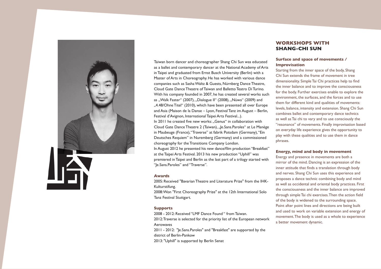

Taiwan born dancer and choreographer Shang Chi Sun was educated as a ballet and contemporary dancer at the National Academy of Arts in Taipei and graduated from Ernst Busch University (Berlin) with a Master of Arts in Choreography. He has worked with various dance companies such as Sasha Waltz & Guests, Nürnberg Dance Theatre, Cloud Gate Dance Theatre of Taiwan and Balletto Teatro Di Turino. With his company founded in 2007, he has created several works such as "Walk Faster" (2007), "Dialogue II" (2008), "Nüwa" (2009) and "4.48/Ohne Titel" (2010), which have been presented all over Europe and Asia (Maison de la Danse – Lyon, Festival Tanz im August – Berlin, Festival d'Avignon, International Taipei Arts Festival...). In 2011 he created five new works: ..Genus" in collaboration with Cloud Gate Dance Theatre 2 (Taiwan), "Je.Sans.Paroles" at Le Manège in Maubeuge (France), "Traverse" at fabrik Potsdam (Germany), "Ein Deutsches Requiem" in Nuremberg (Germany) and a commissioned choreography for the Transitions Company London. In August 2012 he presented his new dance/film production "Breakfast" at the Taipei Arts Festival. 2013 his new production "Uphill" was premiered in Taipei and Berlin as the last part of a trilogy started with "Je.Sans.Paroles" and "Traverse".

# **Awards**

2005: Received "Bavarian Theatre and Literature Prize" from the IHK-Kulturstifung.

2008: Won "First Choreography Prize" at the 12th International Solo Tanz Festival Stuttgart.

#### **Supports**

2008 - 2012: Received "LMF Dance Found " from Taiwan.

2012: Traverse is selected for the priority list of the European network Aerowaves

2011 - 2012: "Je.Sans.Paroles" and "Breakfast" are supported by the district of Berlin-Pankow

2013: "Uphill" is supported by Berlin Senat

# **WORKSHOPS WITH SHANG-CHI SUN**

# **Surface and space of movements / Improvisation**

Starting from the inner space of the body, Shang Chi Sun extends the frame of movement in tree dimensionality. Simple Tai Chi practices help to find the inner balance and to improve the consciousness for the body. Further exercises enable to explore the environment, the surfaces, and the forces and to use them for different kind and qualities of movements: levels, balance, intensity and extension. Shang Chi Sun combines ballet and contemporary dance technics as well as Tai chi to vary and to use consciously the "resonance" of movements. Finally improvisation based on everyday life experience gives the opportunity to play with these qualities and to use them in dance phrases.

#### **Energy, mind and body in movement**

Energy and presence in movements are both a mirror of the mind. Dancing is an expression of the inner attitude that finds a translation through body and nerves. Shang Chi Sun uses this experience and proposes a dance technic combining body and mind as well as occidental and oriental body practices. First the consciousness and the inner balance are improved through simple Tai chi exercises. Then the action field of the body is widened to the surrounding space. Point after point lines and directions are being built and used to work on variable extension and energy of movement. The body is used as a whole to experience a better movement dynamic.